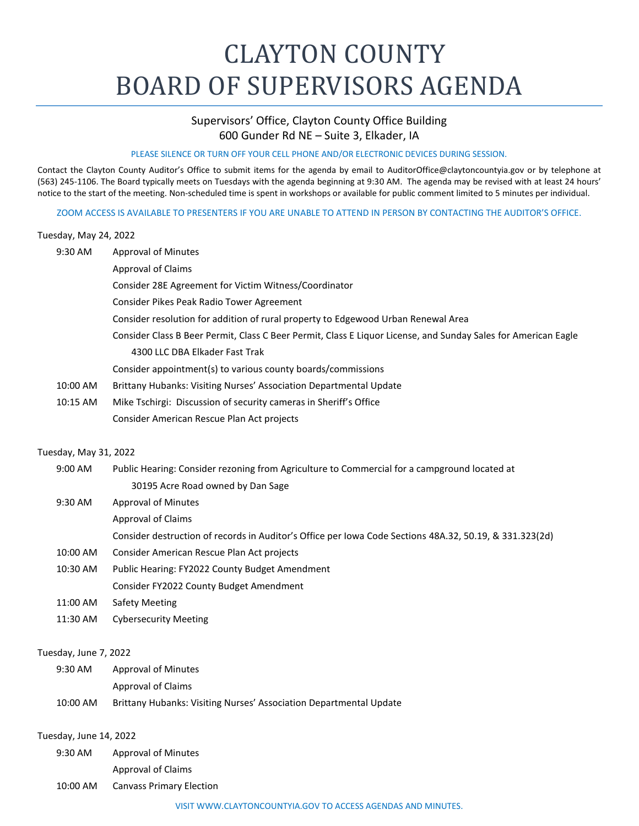# CLAYTON COUNTY BOARD OF SUPERVISORS AGENDA

# Supervisors' Office, Clayton County Office Building 600 Gunder Rd NE – Suite 3, Elkader, IA

#### PLEASE SILENCE OR TURN OFF YOUR CELL PHONE AND/OR ELECTRONIC DEVICES DURING SESSION.

Contact the Clayton County Auditor's Office to submit items for the agenda by email to [AuditorOffice@claytoncountyia.gov](mailto:AuditorOffice@claytoncountyia.gov) or by telephone at (563) 245-1106. The Board typically meets on Tuesdays with the agenda beginning at 9:30 AM. The agenda may be revised with at least 24 hours' notice to the start of the meeting. Non-scheduled time is spent in workshops or available for public comment limited to 5 minutes per individual.

ZOOM ACCESS IS AVAILABLE TO PRESENTERS IF YOU ARE UNABLE TO ATTEND IN PERSON BY CONTACTING THE AUDITOR'S OFFICE.

#### Tuesday, May 24, 2022

- 9:30 AM Approval of Minutes
	- Approval of Claims

Consider 28E Agreement for Victim Witness/Coordinator

- Consider Pikes Peak Radio Tower Agreement
- Consider resolution for addition of rural property to Edgewood Urban Renewal Area
- Consider Class B Beer Permit, Class C Beer Permit, Class E Liquor License, and Sunday Sales for American Eagle
	- 4300 LLC DBA Elkader Fast Trak

Consider appointment(s) to various county boards/commissions

- 10:00 AM Brittany Hubanks: Visiting Nurses' Association Departmental Update
- 10:15 AM Mike Tschirgi: Discussion of security cameras in Sheriff's Office Consider American Rescue Plan Act projects

## Tuesday, May 31, 2022

- 9:00 AM Public Hearing: Consider rezoning from Agriculture to Commercial for a campground located at 30195 Acre Road owned by Dan Sage
- 9:30 AM Approval of Minutes
	- Approval of Claims
		- Consider destruction of records in Auditor's Office per Iowa Code Sections 48A.32, 50.19, & 331.323(2d)
- 10:00 AM Consider American Rescue Plan Act projects
- 10:30 AM Public Hearing: FY2022 County Budget Amendment
	- Consider FY2022 County Budget Amendment
- 11:00 AM Safety Meeting
- 11:30 AM Cybersecurity Meeting

#### Tuesday, June 7, 2022

9:30 AM Approval of Minutes

Approval of Claims

10:00 AM Brittany Hubanks: Visiting Nurses' Association Departmental Update

## Tuesday, June 14, 2022

- 9:30 AM Approval of Minutes Approval of Claims
- 10:00 AM Canvass Primary Election